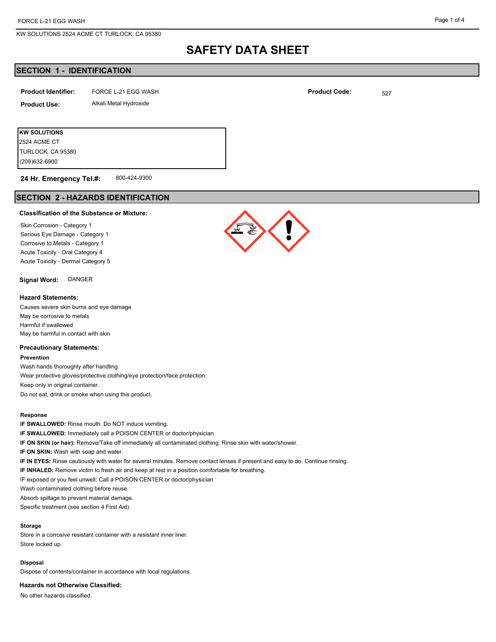KW SOLUTIONS 2524 ACME CT TURLOCK, CA 95380

#### Page 1 of 4

# **SAFETY DATA SHEET**

# **SECTION 1 - IDENTIFICATION**

| <b>Product Identifier:</b> | FORCE L-21 EGG WASH    | <b>Product Code:</b> | 527 |
|----------------------------|------------------------|----------------------|-----|
| <b>Product Use:</b>        | Alkali Metal Hydroxide |                      |     |
|                            |                        |                      |     |

**KW SOLUTIONS** (209)632-6900 TURLOCK, CA 95380 2524 ACME CT

800-424-9300 **24 Hr. Emergency Tel.#:**

# **SECTION 2 - HAZARDS IDENTIFICATION**

#### **Classification of the Substance or Mixture:**

Skin Corrosion - Category 1 Serious Eye Damage - Category 1 Corrosive to Metals - Category 1 Acute Toxicity - Oral Category 4 Acute Toxicity - Dermal Category 5

**Signal Word:** DANGER

#### **Hazard Statements:**

Causes severe skin burns and eye damage May be corrosive to metals Harmful if swallowed May be harmful in contact with skin

### **Precautionary Statements:**

**Prevention**

Wash hands thoroughly after handling Wear protective gloves/protective clothing/eye protection/face protection. Keep only in original container. Do not eat, drink or smoke when using this product.

#### **Response**

**IF SWALLOWED:** Rinse mouth. Do NOT induce vomiting. **IF SWALLOWED:** Immediately call a POISON CENTER or doctor/physician. **IF ON SKIN (or hair):** Remove/Take off immediately all contaminated clothing. Rinse skin with water/shower. **IF ON SKIN:** Wash with soap and water. **IF IN EYES:** Rinse cautiously with water for several minutes. Remove contact lenses if present and easy to do. Continue rinsing. **IF INHALED:** Remove victim to fresh air and keep at rest in a position comfortable for breathing. IF exposed or you feel unwell: Call a POISON CENTER or doctor/physician Wash contaminated clothing before reuse. Absorb spillage to prevent material damage. Specific treatment (see section 4 First Aid).

#### **Storage**

Store in a corrosive resistant container with a resistant inner liner. Store locked up.

#### **Disposal**

Dispose of contents/container in accordance with local regulations.

**Hazards not Otherwise Classified:**

No other hazards classified.

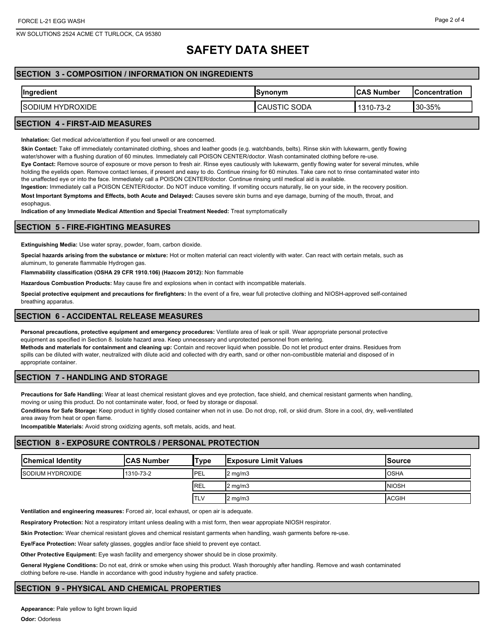KW SOLUTIONS 2524 ACME CT TURLOCK, CA 95380

# **SAFETY DATA SHEET**

# **SECTION 3 - COMPOSITION / INFORMATION ON INGREDIENTS**

| <b>Ingredient</b>                  | <b>Synonym</b>                   | <b>ICAS Number</b> | lConcentration |
|------------------------------------|----------------------------------|--------------------|----------------|
| <b>HYDROXIDE</b><br><b>ISODIUM</b> | <b>SODA</b><br>הו<br>CAUS<br>∣।∪ | 1310-73-2          | 30-35%         |
|                                    |                                  |                    |                |

## **SECTION 4 - FIRST-AID MEASURES**

**Inhalation:** Get medical advice/attention if you feel unwell or are concerned.

**Skin Contact:** Take off immediately contaminated clothing, shoes and leather goods (e.g. watchbands, belts). Rinse skin with lukewarm, gently flowing

water/shower with a flushing duration of 60 minutes. Immediately call POISON CENTER/doctor. Wash contaminated clothing before re-use.

**Eye Contact:** Remove source of exposure or move person to fresh air. Rinse eyes cautiously with lukewarm, gently flowing water for several minutes, while holding the eyelids open. Remove contact lenses, if present and easy to do. Continue rinsing for 60 minutes. Take care not to rinse contaminated water into the unaffected eye or into the face. Immediately call a POISON CENTER/doctor. Continue rinsing until medical aid is available.

**Ingestion:** Immediately call a POISON CENTER/doctor. Do NOT induce vomiting. If vomiting occurs naturally, lie on your side, in the recovery position. **Most Important Symptoms and Effects, both Acute and Delayed:** Causes severe skin burns and eye damage, burning of the mouth, throat, and esophagus.

**Indication of any Immediate Medical Attention and Special Treatment Needed:** Treat symptomatically

## **SECTION 5 - FIRE-FIGHTING MEASURES**

**Extinguishing Media:** Use water spray, powder, foam, carbon dioxide.

**Special hazards arising from the substance or mixture:** Hot or molten material can react violently with water. Can react with certain metals, such as aluminum, to generate flammable Hydrogen gas.

**Flammability classification (OSHA 29 CFR 1910.106) (Hazcom 2012):** Non flammable

**Hazardous Combustion Products:** May cause fire and explosions when in contact with incompatible materials.

**Special protective equipment and precautions for firefighters:** In the event of a fire, wear full protective clothing and NIOSH-approved self-contained breathing apparatus.

## **SECTION 6 - ACCIDENTAL RELEASE MEASURES**

**Personal precautions, protective equipment and emergency procedures:** Ventilate area of leak or spill. Wear appropriate personal protective equipment as specified in Section 8. Isolate hazard area. Keep unnecessary and unprotected personnel from entering.

**Methods and materials for containment and cleaning up:** Contain and recover liquid when possible. Do not let product enter drains. Residues from spills can be diluted with water, neutralized with dilute acid and collected with dry earth, sand or other non-combustible material and disposed of in appropriate container.

### **SECTION 7 - HANDLING AND STORAGE**

**Precautions for Safe Handling:** Wear at least chemical resistant gloves and eye protection, face shield, and chemical resistant garments when handling, moving or using this product. Do not contaminate water, food, or feed by storage or disposal.

**Conditions for Safe Storage:** Keep product in tightly closed container when not in use. Do not drop, roll, or skid drum. Store in a cool, dry, well-ventilated area away from heat or open flame.

**Incompatible Materials:** Avoid strong oxidizing agents, soft metals, acids, and heat.

#### **SECTION 8 - EXPOSURE CONTROLS / PERSONAL PROTECTION**

| <b>Chemical Identity</b> | <b>ICAS Number</b> | Type        | <b>Exposure Limit Values</b> | lSource      |
|--------------------------|--------------------|-------------|------------------------------|--------------|
| <b>ISODIUM HYDROXIDE</b> | 1310-73-2          | PEL         | $2$ mg/m $3$                 | <b>OSHA</b>  |
|                          |                    | <b>IREL</b> | $2 \text{ mg/m}$             | <b>NIOSH</b> |
|                          |                    | <b>ITLV</b> | $2 \text{ mg/m}$             | <b>ACGIH</b> |

**Ventilation and engineering measures:** Forced air, local exhaust, or open air is adequate.

**Respiratory Protection:** Not a respiratory irritant unless dealing with a mist form, then wear appropiate NIOSH respirator.

**Skin Protection:** Wear chemical resistant gloves and chemical resistant garments when handling, wash garments before re-use.

**Eye/Face Protection:** Wear safety glasses, goggles and/or face shield to prevent eye contact.

**Other Protective Equipment:** Eye wash facility and emergency shower should be in close proximity.

**General Hygiene Conditions:** Do not eat, drink or smoke when using this product. Wash thoroughly after handling. Remove and wash contaminated clothing before re-use. Handle in accordance with good industry hygiene and safety practice.

# **SECTION 9 - PHYSICAL AND CHEMICAL PROPERTIES**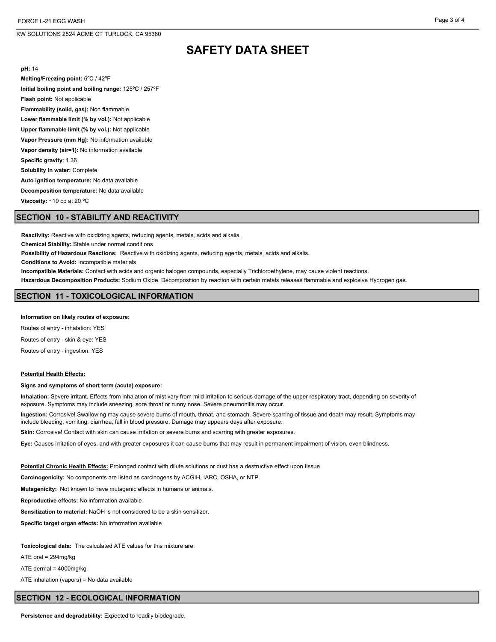FORCE L-21 EGG WASH

KW SOLUTIONS 2524 ACME CT TURLOCK, CA 95380

# **SAFETY DATA SHEET**

**pH:** 14

**Melting/Freezing point:** 6ºC / 42ºF **Initial boiling point and boiling range:** 125ºC / 257ºF **Flash point:** Not applicable **Flammability (solid, gas):** Non flammable **Lower flammable limit (% by vol.):** Not applicable **Upper flammable limit (% by vol.):** Not applicable **Vapor Pressure (mm Hg):** No information available **Vapor density (air=1):** No information available **Specific gravity**: 1.36 **Solubility in water:** Complete **Auto ignition temperature:** No data available **Decomposition temperature:** No data available **Viscosity:** ~10 cp at 20 ºC

# **SECTION 10 - STABILITY AND REACTIVITY**

**Reactivity:** Reactive with oxidizing agents, reducing agents, metals, acids and alkalis. **Chemical Stability:** Stable under normal conditions **Possibility of Hazardous Reactions:** Reactive with oxidizing agents, reducing agents, metals, acids and alkalis. **Conditions to Avoid:** Incompatible materials **Incompatible Materials:** Contact with acids and organic halogen compounds, especially Trichloroethylene, may cause violent reactions. **Hazardous Decomposition Products:** Sodium Oxide. Decomposition by reaction with certain metals releases flammable and explosive Hydrogen gas. **SECTION 11 - TOXICOLOGICAL INFORMATION**

**Information on likely routes of exposure:**

Routes of entry - inhalation: YES Routes of entry - skin & eye: YES

Routes of entry - ingestion: YES

#### **Potential Health Effects:**

#### **Signs and symptoms of short term (acute) exposure:**

**Inhalation:** Severe irritant. Effects from inhalation of mist vary from mild irritation to serious damage of the upper respiratory tract, depending on severity of exposure. Symptoms may include sneezing, sore throat or runny nose. Severe pneumonitis may occur.

**Ingestion:** Corrosive! Swallowing may cause severe burns of mouth, throat, and stomach. Severe scarring of tissue and death may result. Symptoms may include bleeding, vomiting, diarrhea, fall in blood pressure. Damage may appears days after exposure.

**Skin:** Corrosive! Contact with skin can cause irritation or severe burns and scarring with greater exposures.

**Eye:** Causes irritation of eyes, and with greater exposures it can cause burns that may result in permanent impairment of vision, even blindness.

**Potential Chronic Health Effects:** Prolonged contact with dilute solutions or dust has a destructive effect upon tissue.

**Carcinogenicity:** No components are listed as carcinogens by ACGIH, IARC, OSHA, or NTP.

**Mutagenicity:** Not known to have mutagenic effects in humans or animals.

**Reproductive effects:** No information available

**Sensitization to material:** NaOH is not considered to be a skin sensitizer.

**Specific target organ effects:** No information available

**Toxicological data:** The calculated ATE values for this mixture are:

ATE oral = 294mg/kg

ATE dermal = 4000mg/kg

ATE inhalation (vapors) = No data available

#### **SECTION 12 - ECOLOGICAL INFORMATION**

**Persistence and degradability:** Expected to readily biodegrade.